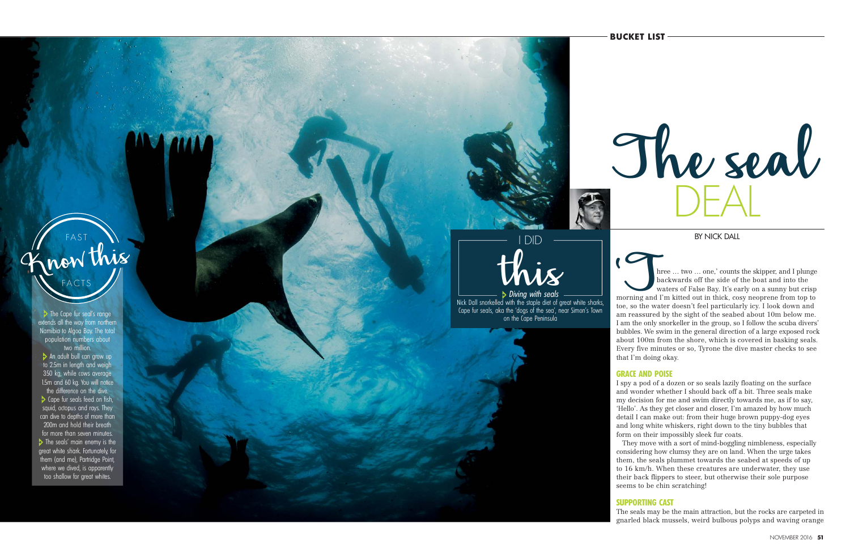BY NICK DALL

The seal DEAL

BY NICK DALL<br>
hree … two … one,' counts the skipper, and I plunge<br>
backwards off the side of the boat and into the<br>
waters of False Bay. It's early on a sunny but crisp<br>
toe, so the water doesn't feel particularly icy. I l backwards off the side of the boat and into the waters of False Bay. It's early on a sunny but crisp morning and I'm kitted out in thick, cosy neoprene from top to toe, so the water doesn't feel particularly icy. I look down and am reassured by the sight of the seabed about 10m below me. I am the only snorkeller in the group, so I follow the scuba divers' bubbles. We swim in the general direction of a large exposed rock about 100m from the shore, which is covered in basking seals. Every five minutes or so, Tyrone the dive master checks to see that I'm doing okay.

# **GRACE AND POISE**

I spy a pod of a dozen or so seals lazily floating on the surface and wonder whether I should back off a bit. Three seals make my decision for me and swim directly towards me, as if to say, 'Hello'. As they get closer and closer, I'm amazed by how much detail I can make out: from their huge brown puppy-dog eyes and long white whiskers, right down to the tiny bubbles that form on their impossibly sleek fur coats.

FAST FACTS Know this

> They move with a sort of mind-boggling nimbleness, especially considering how clumsy they are on land. When the urge takes them, the seals plummet towards the seabed at speeds of up to 16 km/h. When these creatures are underwater, they use their back flippers to steer, but otherwise their sole purpose seems to be chin scratching!

# **SUPPORTING CAST**

The seals may be the main attraction, but the rocks are carpeted in gnarled black mussels, weird bulbous polyps and waving orange

this I DID

Diving with seals Nick Dall snorkelled with the staple diet of great white sharks, Cape fur seals, aka the 'dogs of the sea', near Simon's Town<br>on the Cape Peninsula The Cape fur seal's range that seally a range the Cape Peninsula The Cape Peninsula The Cape Peninsula The Cape Peninsula<br>The Cape Peninsula The Cape Peninsula

extends all the way from northern Namibia to Algoa Bay. The total population numbers about two million.

An adult bull can grow up to 2.5m in length and weigh 350 kg, while cows average 1.5m and 60 kg. You will notice the difference on the dive. **Cape fur seals feed on fish,** squid, octopus and rays. They can dive to depths of more than 200m and hold their breath for more than seven minutes. The seals' main enemy is the great white shark. Fortunately, for them (and me), Partridge Point, where we dived, is apparently too shallow for great whites.

**BUCKET LIST**